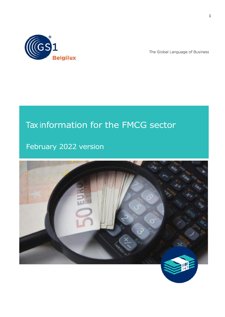

The Global Language of Business

# Tax information for the FMCG sector

February 2022 version

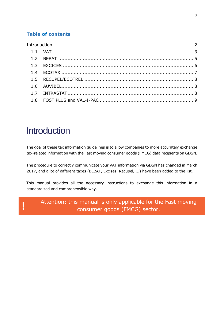# **Table of contents**

# <span id="page-1-0"></span>**Introduction**

The goal of these tax information guidelines is to allow companies to more accurately exchange tax-related information with the Fast moving consumer goods (FMCG) data recipients on GDSN.

The procedure to correctly communicate your VAT information via GDSN has changed in March 2017, and a lot of different taxes (BEBAT, Excises, Recupel, ...) have been added to the list.

This manual provides all the necessary instructions to exchange this information in a standardized and comprehensible way.

Attention: this manual is only applicable for the Fast moving<br>**consumer goods (FMCG) sector.**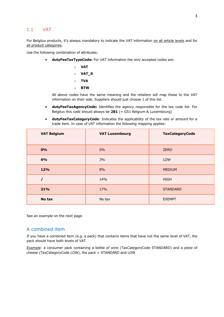#### <span id="page-2-0"></span>1.1 VAT

For Belgilux products, it's always mandatory to indicate the VAT information on all article levels and for all product categories.

Use the following combination of attributes:

• **dutyFeeTaxTypeCode:** For VAT information the only accepted codes are:

$$
\circ \quad \text{VAT}
$$

o **VAT\_S**

- o **TVA**
- o **BTW**

All above codes have the same meaning and the retailers will map these to the VAT information on their side. Suppliers should just choose 1 of this list.

- **dutyFeeTaxAgencyCode:** Identifies the agency responsible for the tax code list. For Belgilux this code should always be **281** (= GS1 Belgium & Luxembourg)
- **dutyFeeTaxCategoryCode**: Indicates the applicability of the tax rate or amount for a trade item. In case of VAT information the following mapping applies:

| <b>VAT Belgium</b> | <b>VAT Luxembourg</b> | <b>TaxCategoryCode</b> |
|--------------------|-----------------------|------------------------|
| 0%                 | $0\%$                 | <b>ZERO</b>            |
| 6%                 | 3%                    | <b>LOW</b>             |
| 12%                | 8%                    | <b>MEDIUM</b>          |
|                    | 14%                   | <b>HIGH</b>            |
| 21%                | 17%                   | <b>STANDARD</b>        |
| No tax             | No tax                | <b>EXEMPT</b>          |

See an example on the next page.

#### A combined item

If you have a combined item (e.g. a pack) that contains items that have not the same level of VAT, the pack should have both levels of VAT.

Example: a consumer pack containing a bottle of wine (TaxCategoryCode STANDARD) and a piece of cheese (TaxCategoryCode LOW), the pack = STANDARD and LOW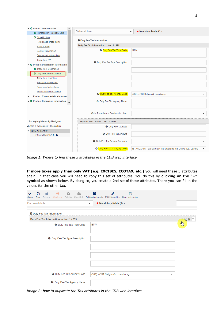

*Image 1: Where to find these 3 attributes in the CDB web interface*

**If more taxes apply than only VAT (e.g. EXCISES, ECOTAX, etc.)** you will need these 3 attributes again. In that case you will need to copy this set of attributes. You do this by **clicking on the "+" symbol** as shown below. By doing so, you create a 2nd set of these attributes. There you can fill in the values for the other tax.

<span id="page-3-0"></span>

| /alidate | Save              | Release Unrelease Publish Unpublish Publication targets Edit Hierarchies Save as template | ≏ | o                               |                         |  |                                          | 冎 |  |   |                 |               |  |
|----------|-------------------|-------------------------------------------------------------------------------------------|---|---------------------------------|-------------------------|--|------------------------------------------|---|--|---|-----------------|---------------|--|
|          | Find an attribute |                                                                                           |   |                                 | $\overline{\mathbf{v}}$ |  | $\bullet$ Mandatory fields (0) $\bullet$ |   |  |   |                 |               |  |
|          |                   | <b>O</b> Duty Fee Tax Information                                                         |   |                                 |                         |  |                                          |   |  |   |                 |               |  |
|          |                   | Duty Fee Tax Information --- No.: 1 / 999                                                 |   |                                 |                         |  |                                          |   |  |   | LA <sub>1</sub> | $\equiv$<br>û |  |
|          |                   |                                                                                           |   | <b>O</b> Duty Fee Tax Type Code | <b>BTW</b>              |  |                                          |   |  |   | $4y^2$          |               |  |
|          |                   | <b>O</b> Duty Fee Tax Type Description                                                    |   |                                 |                         |  |                                          |   |  |   |                 |               |  |
|          |                   |                                                                                           |   |                                 |                         |  |                                          |   |  |   |                 |               |  |
|          |                   |                                                                                           |   |                                 |                         |  |                                          |   |  |   |                 |               |  |
|          |                   | <b>O</b> Duty Fee Tax Agency Code                                                         |   |                                 |                         |  | (281) - GS1 Belgium&Luxembourg           |   |  | ▼ |                 |               |  |
|          |                   | <b>O</b> Duty Fee Tax Agency Name                                                         |   |                                 |                         |  |                                          |   |  |   |                 |               |  |

*Image 2: how to duplicate the Tax attributes in the CDB web interface*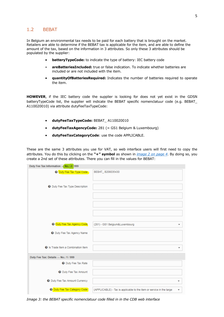## <span id="page-4-0"></span>1.2 BEBAT

In Belgium an environmental tax needs to be paid for each battery that is brought on the market. Retailers are able to determine if the BEBAT tax is applicable for the item, and are able to define the amount of the tax, based on the information in 3 attributes. So only these 3 attributes should be populated by the supplier:

- **batteryTypeCode:** to indicate the type of battery: IEC battery code
- **areBatteriesIncluded:** true or false indication. To indicate whether batteries are included or are not included with the item.
- **quantityOfBatteriesRequired:** Indicates the number of batteries required to operate the item.

**HOWEVER**, if the IEC battery code the supplier is looking for does not yet exist in the GDSN batteryTypeCode list, the supplier will indicate the BEBAT specific nomenclatuur code (e.g. BEBAT\_ A110020010) via attribute dutyFeeTaxTypeCode:

- **dutyFeeTaxTypeCode:** BEBAT\_ A110020010
- **dutyFeeTaxAgencyCode:** 281 (= GS1 Belgium & Luxembourg)
- **dutyFeeTaxCategoryCode**: use the code APPLICABLE.

These are the same 3 attributes you use for VAT, so web interface users will first need to copy the attributes. You do this by clicking on the **"+" symbol** as shown in *[image 2 on page 4](#page-3-0)*. By doing so, you create a 2nd set of these attributes. There you can fill in the values for BEBAT:

| Duty Fee Tax Information --- No.: 2 / 999 |                                                                           |
|-------------------------------------------|---------------------------------------------------------------------------|
| O Duty Fee Tax Type Code                  | BEBAT_B208035430                                                          |
| <b>O</b> Duty Fee Tax Type Description    |                                                                           |
|                                           |                                                                           |
|                                           |                                                                           |
|                                           |                                                                           |
| <b>O Duty Fee Tax Agency Code</b>         | (281) - GS1 Belgium&Luxembourg<br>▼                                       |
| <b>O</b> Duty Fee Tax Agency Name         |                                                                           |
| <b>O</b> Is Trade Item a Combination Item | ▼                                                                         |
| Duty Fee Tax: Details --- No.: 1 / 999    |                                                                           |
| <b>O</b> Duty Fee Tax Rate                |                                                                           |
| <b>O</b> Duty Fee Tax Amount              |                                                                           |
| <b>O</b> Duty Fee Tax Amount Currency     | ▼                                                                         |
| O Duty Fee Tax Category Code              | (APPLICABLE) - Tax is applicable to the item or service in the targe<br>٠ |

*Image 3: the BEBAT specific nomenclatuur code filled in in the CDB web interface*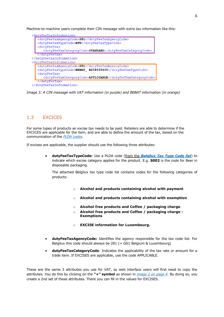Machine-to-machine users complete their CIN message with extra tax information like this:

| <dutvfeetaxinformation></dutvfeetaxinformation>             |
|-------------------------------------------------------------|
| <dutyfeetaxagencycode>281</dutyfeetaxagencycode>            |
| <dutyfeetaxtypecode>BTW</dutyfeetaxtypecode>                |
| <dutyfeetax></dutyfeetax>                                   |
| <dutyfeetaxcategorycode>STANDARD</dutyfeetaxcategorycode>   |
|                                                             |
|                                                             |
| <dutvfeetaxinformation></dutvfeetaxinformation>             |
| <dutyfeetaxagencycode>281</dutyfeetaxagencycode>            |
| <dutyfeetaxtypecode>BEBAT B208035430</dutyfeetaxtypecode>   |
| <dutyfeetax></dutyfeetax>                                   |
| <dutyfeetaxcategorycode>APPLICABLE</dutyfeetaxcategorycode> |
|                                                             |
|                                                             |

*Image 3: A CIN message with VAT information (in purple) and BEBAT information (in orange)*

### <span id="page-5-0"></span>1.3 EXCICES

For some types of products an excise tax needs to be paid. Retailers are able to determine if the EXCICES are applicable for the item, and are able to define the amount of the tax, based on the communication of the *[PLDA codes](https://financien.belgium.be/nl/douane_accijnzen/ondernemingen/applicaties-da/technische-documentatie-0/plda/actueel#q10)*.

If excises are applicable, the supplier should use the following three attributes:

• **dutyFeeTaxTypeCode:** Use a PLDA code (from the *[Belgilux Tax Type Code list](https://gs1belu.org/nl/documentatie/codelijst-taksen)*) to indicate which excise category applies for the product. E.g. **S002** is the code for Beer in disposable packaging.

The attached Belgilux tax type code list contains codes for the following categories of products:

- o **Alcohol and products containing alcohol with payment**
- o **Alcohol and products containing alcohol with exemption**
- o **Alcohol free products and Coffee / packaging charge**
- o **Alcohol free products and Coffee / packaging charge - Exemptions**
- o **EXCISE information for Luxembourg.**
- **dutyFeeTaxAgencyCode:** Identifies the agency responsible for the tax code list. For Belgilux this code should always be 281 (= GS1 Belgium & Luxembourg)
- **dutyFeeTaxCategoryCode**: Indicates the applicability of the tax rate or amount for a trade item. If EXCISES are applicable, use the code APPLICABLE.

These are the same 3 attributes you use for VAT, so web interface users will first need to copy the attributes. You do this by clicking on the **"+" symbol** as shown in *[image 2 on page 4](#page-3-0)*. By doing so, you create a 2nd set of these attributes. There you can fill in the values for EXCISES.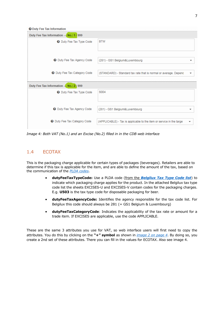**@** Duty Fee Tax Information

| Duty Fee Tax Information --- No.: 1 / 999 |                                                                           |
|-------------------------------------------|---------------------------------------------------------------------------|
| <b>O</b> Duty Fee Tax Type Code           | <b>BTW</b>                                                                |
|                                           |                                                                           |
| <b>O</b> Duty Fee Tax Agency Code         | (281) - GS1 Belgium&Luxembourg                                            |
|                                           |                                                                           |
| <b>O</b> Duty Fee Tax Category Code       | (STANDARD) - Standard tax rate that is normal or average. Depend          |
|                                           |                                                                           |
| Duty Fee Tax Information --- No.: 2 / 999 |                                                                           |
| <b>O</b> Duty Fee Tax Type Code           | S <sub>004</sub>                                                          |
|                                           |                                                                           |
| <b>O</b> Duty Fee Tax Agency Code         | (281) - GS1 Belgium&Luxembourg                                            |
| <b>O</b> Duty Fee Tax Category Code       | (APPLICABLE) - Tax is applicable to the item or service in the targe<br>▼ |

*Image 4: Both VAT (No.1) and an Excise (No.2) filled in in the CDB web interface*

# <span id="page-6-0"></span>1.4 ECOTAX

This is the packaging charge applicable for certain types of packages (beverages). Retailers are able to determine if this tax is applicable for the item, and are able to define the amount of the tax, based on the communication of the *[PLDA codes](https://financien.belgium.be/nl/douane_accijnzen/ondernemingen/applicaties-da/technische-documentatie-0/plda/actueel#q10)*.

- **dutyFeeTaxTypeCode:** Use a PLDA code (from the *[Belgilux Tax Type Code list](https://gs1belu.org/nl/documentatie/codelijst-taksen)*) to indicate which packaging charge applies for the product. In the attached Belgilux tax type code list the sheets EXCISES-U and EXCISES-V contain codes for the packaging charges. E.g. **U503** is the tax type code for disposable packaging for beer.
- **dutyFeeTaxAgencyCode:** Identifies the agency responsible for the tax code list. For Belgilux this code should always be  $281$  (= GS1 Belgium & Luxembourg)
- **dutyFeeTaxCategoryCode**: Indicates the applicability of the tax rate or amount for a trade item. If EXCISES are applicable, use the code APPLICABLE.

These are the same 3 attributes you use for VAT, so web interface users will first need to copy the attributes. You do this by clicking on the **"+" symbol** as shown in *[image 2 on page 4](#page-3-0)*. By doing so, you create a 2nd set of these attributes. There you can fill in the values for ECOTAX. Also see image 4.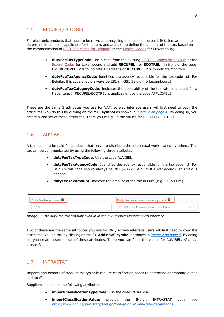# <span id="page-7-0"></span>1.5 RECUPEL/ECOTREL

For electronic products that need to be recycled a recycling tax needs to be paid. Retailers are able to determine if this tax is applicable for the item, and are able to define the amount of the tax, based on the communication of [RECUPEL codes for Belgium](https://www.recupel.be/en/appliance-list/) or the [Ecotrel Codes](http://www.ecotrel.lu/en/professional/list-of-ee-es-and-fees) for Luxembourg.

- **dutyFeeTaxTypeCode:** Use a code from the existing [RECUPEL codes for Belgium](https://www.recupel.be/en/appliance-list/) or the [Ecotrel Codes](http://www.ecotrel.lu/volumes/files/E-Annexe-A1-2022_220214_093536.pdf) for Luxembourg and add **RECUPEL\_** or **ECOTREL\_** in front of the code. E.g. **RECUPEL\_2.1** to indicate TV screens or **RECUPEL\_2.2** to indicate Monitors.
- **dutyFeeTaxAgencyCode:** Identifies the agency responsible for the tax code list. For Belgilux this code should always be  $281$  (= GS1 Belgium & Luxembourg)
- **dutyFeeTaxCategoryCode**: Indicates the applicability of the tax rate or amount for a trade item. If RECUPEL/ECOTREL is applicable, use the code APPLICABLE.

These are the same 3 attributes you use for VAT, so web interface users will first need to copy the attributes. You do this by clicking on the **"+" symbol** as shown in *[image 2 on page 4](#page-3-0)*. By doing so, you create a 2nd set of these attributes. There you can fill in the values for RECUPEL/ECOTREL.

# <span id="page-7-1"></span>1.6 AUVIBEL

A tax needs to be paid for products that serve to distribute the intellectual work owned by others. This tax can be communicated by using the following three attributes:

- **dutyFeeTaxTypeCode**: Use the code AUVIBEL
- **dutyFeeTaxAgencyCode**: Identifies the agency responsible for the tax code list. For Belgilux this code should always be  $281$  (= GS1 Belgium & Luxembourg). This field is optional.
- **dutyFeeTaxAmount**: Indicate the amount of the tax in Euro (e.g., 0.15 Euro)

| Duty fee tax amount <sup>1</sup> | Duty fee tax amount currency code <sup>1</sup> |  |
|----------------------------------|------------------------------------------------|--|
|                                  | [EUR] Euro Member Countries, Euro              |  |

*Image 5: The duty fee tax amount filled in in the My Product Manager web interface* 

Two of these are the same attributes you use for VAT, so web interface users will first need to copy the attributes. You do this by clicking on the "**+ Add new**" **symbol** as shown in *[image 2 on page 4](#page-3-0)*. By doing so, you create a second set of these attributes. There you can fill in the values for AUVIBEL. *Also see image 4*.

# <span id="page-7-2"></span>1.7 INTRASTAT

Imports and exports of trade items typically require classification codes to determine appropriate duties and tariffs.

Suppliers should use the following attributes:

- **importClassificationTypeCode:** Use the code INTRASTAT
- **importClassificationValue:** provide the 8-digit INTRASTAT code see *<http://www.nbb.be/pub/stats/foreign/foreign.htm?l=en&tab=declarations>*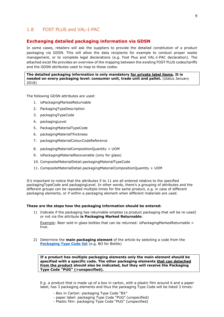### <span id="page-8-0"></span>1.8 FOST PLUS and VAL-I-PAC

#### **Exchanging detailed packaging information via GDSN**

In some cases, retailers will ask the suppliers to provide the detailed constitution of a product packaging via GDSN. This will allow the data recipients for example to conduct proper waste management, or to complete legal declarations (e.g. Fost Plus and VAL-I-PAC declaration). The attached excel file provides an overview of the mapping between the existing FOST PLUS codes/tariffs and the GDSN attributes used to map to these codes.

#### **The detailed packaging information is only mandatory for private label items. It is needed on every packaging level: consumer unit, trade unit and pallet.** (status January 2018)

The following GDSN attributes are used:

- 1. isPackagingMarkedReturnable
- 2. PackagingTypeDescription
- 3. packagingTypeCode
- 4. packagingLevel
- 5. PackagingMaterialTypeCode
- 6. packagingMaterialThickness
- 7. packagingMaterialColourCodeReference
- 8. packagingMaterialCompositionQuantity + UOM
- 9. isPackagingMaterialRecoverable (only for glass)
- 10. CompositeMaterialDetail.packagingMaterialTypeCode
- 11. CompositeMaterialDetail.packagingMaterialCompositionQuantity + UOM

It's important to notice that the attributes 5 to 11 are all entered relative to the specified packagingTypeCode and packagingLevel. In other words, there's a grouping of attributes and the different groups can be repeated multiple times for the same product, e.g. in case of different packaging elements, or if within a packaging element when different materials are used.

#### **These are the steps how the packaging information should be entered:**

1) Indicate if the packaging has returnable empties (a product packaging that will be re-used) or not via the attribute **is Packaging Marked Returnable**:

Example: Beer sold in glass bottles that can be returned: isPackagingMarkedReturnable = true.

2) Determine the **main packaging element** of the article by selecting a code from the **[Packaging Type Code list](http://apps.gs1.org/GDD/Pages/clDetails.aspx?semanticURN=urn:gs1:gdd:cl:PackageTypeCode&release=1)** (e.g. BO for Bottle)

**If a product has multiple packaging elements only the main element should be specified with a specific code. The other packaging elements that can detached from the product should also be indicated, but they will receive the Packaging Type Code "PUG" (=unspecified).**

E.g. a product that is made up of a box in carton, with a plastic film around it and a paper label, has 3 packaging elements and thus the packaging Type Code will be listed 3 times:

- Box in Carton: packaging Type Code "BX"
- paper label: packaging Type Code "PUG" (unspecified)
- Plastic film: packaging Type Code "PUG" (unspecified)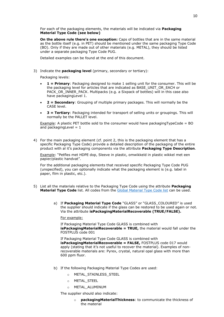For each of the packaging elements, the materials will be indicated via **Packaging Material Type Code (see below)**

**On the above rule there's one exception:** Caps of bottles that are in the same material as the bottle itself (e.g. in PET) should be mentioned under the same packaging Type Code (BO). Only if they are made out of other materials (e.g. METAL), they should be listed under a separate packaging Type Code PUG.

Detailed examples can be found at the end of this document.

3) Indicate the **packaging level** (primary, secondary or tertiary):

Packaging levels:

- **1 = Primary**: Packaging designed to make 1 selling unit for the consumer. This will be the packaging level for articles that are indicated as BASE\_UNIT\_OR\_EACH or PACK\_OR\_INNER\_PACK. Multipacks (e.g. a Sixpack of bottles) will in this case also have packagingLevel 1.
- **2 = Secondary**: Grouping of multiple primary packages. This will normally be the CASE level.
- **3 = Tertiary**: Packaging intended for transport of selling units or groupings. This will normally be the PALLET level.

Example: A plastic PET bottle sold to the consumer would have packagingTypeCode = BO and packaging Level  $= 1$ 

4) For the main packaging element (cf. point 2, this is the packaging element that has a specific Packaging Type Code) provide a detailed description of the packaging of the entire product with al it's packaging components via the attribute **Packaging Type Description**.

Example: "Petfles met HDPE dop, Sleeve in plastic, omwikkeld in plastic wikkel met een papier/plastic handvat".

For the additional packaging elements that received specific Packaging Type Code PUG (unspecified), you can optionally indicate what the packaging element is (e.g. label in paper, film in plastic, etc.).

- 5) List all the materials relative to the Packaging Type Code using the attribute **Packaging Material Type Code** list. All codes from the [Global Material Type Code list](http://apps.gs1.org/GDD/Pages/clDetails.aspx?semanticURN=urn:gs1:gdd:cl:PackagingMaterialTypeCode&release=1) can be used.
	- a) If **Packaging Material Type Code** "GLASS" or "GLASS\_COLOURED" is used the supplier should indicate if the glass can be restored to be used again or not. Via the attribute **isPackagingMaterialRecoverable (TRUE/FALSE).**

For example:

If Packaging Material Type Code GLASS is combined with **isPackagingMaterialRecoverable = TRUE,** the material would fall under the FOSTPLUS code 001

If Packaging Material Type Code GLASS is combined with **isPackagingMaterialRecoverable = FALSE,** FOSTPLUS code 017 would apply (stating that it's not useful to recover the material). Examples of nonrecoverable materials are: Pyrex, crystal, natural opal glass with more than 600 ppm fluor.

- b) If the following Packaging Material Type Codes are used:
	- o METAL\_STAINLESS\_STEEL
	- o METAL\_STEEL
	- o METAL\_ALUMINUM

The supplier should also indicate:

o **packagingMaterialThickness**: to communicate the thickness of the material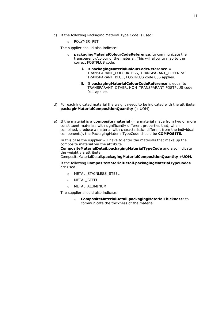- c) If the following Packaging Material Type Code is used:
	- o POLYMER\_PET

The supplier should also indicate:

- packagingMaterialColourCodeReference: to communicate the transparency/colour of the material. This will allow to map to the correct FOSTPLUS code:
	- **i.** If **packagingMaterialColourCodeReference** = TRANSPARANT\_COLOURLESS, TRANSPARANT\_GREEN or TRANSPARANT\_BLUE, FOSTPLUS code 005 applies.
	- **ii.** If **packagingMaterialColourCodeReference** is equal to TRANSPARANT\_OTHER, NON\_TRANSPARANT FOSTPLUS code 011 applies.
- d) For each indicated material the weight needs to be indicated with the attribute **packaginMaterialCompositionQuantity** (+ UOM)
- e) If the material is **a composite material** (= a material made from two or more constituent materials with significantly different properties that, when combined, produce a material with characteristics different from the individual components), the PackagingMaterialTypeCode should be **COMPOSITE**.

In this case the supplier will have to enter the materials that make up the composite material via the attribute

**CompositeMaterialDetail.packagingMaterialTypeCode** and also indicate the weight via attribute

CompositeMaterialDetail.**packagingMaterialCompositionQuantity +UOM.**

If the following **CompositeMaterialDetail.packagingMaterialTypeCodes**  are used:

- o METAL\_STAINLESS\_STEEL
- o METAL\_STEEL
- o METAL\_ALUMINUM

The supplier should also indicate:

o **CompositeMaterialDetail.packagingMaterialThickness**: to communicate the thickness of the material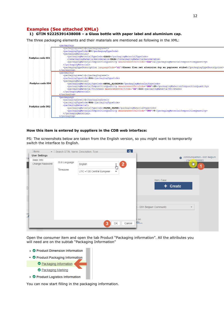#### **Examples (See attached XMLs) 1) GTIN 92225391438008 – a Glass bottle with paper label and aluminium cap.**

The three packaging elements and their materials are mentioned as following in the XML:



#### **How this item is entered by suppliers in the CDB web interface:**

PS: The screenshots below are taken from the English version, so you might want to temporarily switch the interface to English.

|                      | <b>Items</b>         | - Search GTIN. Name. Description. Type |                            |                          | ि ।                  |                                                     |  |
|----------------------|----------------------|----------------------------------------|----------------------------|--------------------------|----------------------|-----------------------------------------------------|--|
|                      | <b>User Settings</b> |                                        |                            |                          |                      | communityadmin - GS1 Belgium                        |  |
| za<br>—              | Basic Info           |                                        |                            |                          |                      | $$   5410000999993                                  |  |
|                      | Change Password      | GUI Language                           | English                    |                          | $\mathbf{2}_{\perp}$ | $\frac{1}{2}$ $\frac{1}{2}$                         |  |
|                      |                      | Timezone                               |                            | հր                       |                      |                                                     |  |
|                      |                      |                                        | UTC +1:00 Central Europear | $\overline{\phantom{a}}$ |                      |                                                     |  |
|                      |                      |                                        |                            |                          |                      |                                                     |  |
|                      |                      |                                        |                            |                          |                      | Item, Case                                          |  |
| ol                   |                      |                                        |                            |                          |                      | + Create                                            |  |
|                      |                      |                                        |                            |                          |                      |                                                     |  |
|                      |                      |                                        |                            |                          |                      |                                                     |  |
|                      |                      |                                        |                            |                          |                      |                                                     |  |
|                      |                      |                                        |                            |                          |                      |                                                     |  |
|                      |                      |                                        |                            |                          |                      | - GS1 Belgium Community<br>$\overline{\phantom{a}}$ |  |
| $\overline{\bullet}$ |                      |                                        |                            |                          |                      |                                                     |  |
|                      |                      |                                        |                            |                          |                      | c on                                                |  |
|                      |                      |                                        | з                          | ОK                       | Cancel               | <b>EW</b>                                           |  |
|                      |                      |                                        |                            |                          |                      |                                                     |  |

Open the consumer item and open the tab Product "Packaging information". All the attributes you will need are on the subtab "Packaging Information"

- ▶ © Product Dimension Information ▼ **O** Product Packaging Information Packaging Information Rackaging Marking
- ▶ © Product Logistics Information

You can now start filling in the packaging information.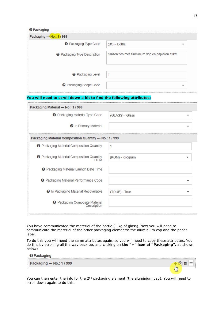4

 $\ddot{\phantom{a}}$ 

| Packaging --- No.: 1 / 999          |                                                  |
|-------------------------------------|--------------------------------------------------|
| <b>@</b> Packaging Type Code        | (BO) - Bottle                                    |
| <b>@</b> Packaging Type Description | Glazen fles met aluminium dop en papieren etiket |
| <b>@</b> Packaging Level            |                                                  |
| <b>@</b> Packaging Shape Code       |                                                  |

#### **You will need to scroll down a bit to find the following attributes:**

| Packaging Material --- No.: 1 / 999                      |                  |
|----------------------------------------------------------|------------------|
| <b>@</b> Packaging Material Type Code                    | (GLASS) - Glass  |
| <b>@</b> Is Primary Material                             |                  |
| Packaging Material Composition Quantity --- No.: 1 / 999 |                  |
| <b>@</b> Packaging Material Composition Quantity         | 1                |
| <b>@</b> Packaging Material Composition Quantity<br>LIOM | (KGM) - Kilogram |
| <b>@</b> Packaging Material Launch Date Time             |                  |
| <b>@</b> Packaging Material Performance Code             |                  |
| <b>@</b> Is Packaging Material Recoverable               | (TRUE) - True    |
| <b>@</b> Packaging Composite Material<br>Description     |                  |
|                                                          |                  |

You have communicated the material of the bottle (1 kg of glass). Now you will need to communicate the material of the other packaging elements: the aluminium cap and the paper label.

To do this you will need the same attributes again, so you will need to copy these attributes. You do this by scrolling all the way back up, and clicking on **the "+" icon at "Packaging",** as shown below:

# **@** Packaging Packaging --- No.: 1 / 999



You can then enter the info for the 2<sup>nd</sup> packaging element (the aluminium cap). You will need to scroll down again to do this.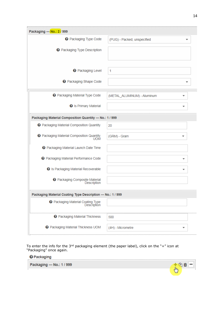| Packaging --- No.: 2 / 999                                     |                             |
|----------------------------------------------------------------|-----------------------------|
| <b>@</b> Packaging Type Code                                   | (PUG) - Packed, unspecified |
| <b>@</b> Packaging Type Description                            |                             |
|                                                                |                             |
| <b>@</b> Packaging Level                                       | 1                           |
| <b>@</b> Packaging Shape Code                                  |                             |
| <b>@</b> Packaging Material Type Code                          | (METAL ALUMINUM) - Aluminum |
| <b>@</b> Is Primary Material                                   |                             |
| Packaging Material Composition Quantity --- No.: 1 / 999       |                             |
| <b>@</b> Packaging Material Composition Quantity               | 20                          |
| <b>@</b> Packaging Material Composition Quantity<br><b>UOM</b> | (GRM) - Gram                |
| <b>@</b> Packaging Material Launch Date Time                   |                             |
| <b>@</b> Packaging Material Performance Code                   |                             |
| <b>@</b> Is Packaging Material Recoverable                     |                             |
| <b>@</b> Packaging Composite Material<br>Description           |                             |
| Packaging Material Coating Type Description --- No.: 1 / 999   |                             |
| Packaging Material Coating Type<br>Description                 |                             |
| <b>@</b> Packaging Material Thickness                          | 500                         |
| <b>@</b> Packaging Material Thickness UOM                      | (4H) - Micrometre           |

To enter the info for the 3<sup>nd</sup> packaging element (the paper label), click on the "+" icon at "Packaging" once again.

<sup>O</sup> Packaging

Packaging --- No.: 1 / 999

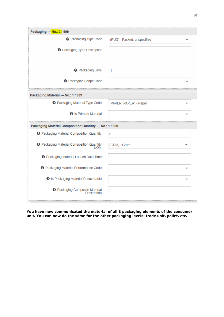| Packaging --- No.: 3 / 999                               |                             |
|----------------------------------------------------------|-----------------------------|
| <b>@</b> Packaging Type Code                             | (PUG) - Packed, unspecified |
| <b>@</b> Packaging Type Description                      |                             |
| <b>@</b> Packaging Level                                 | 1                           |
| <b>@</b> Packaging Shape Code                            |                             |
| Packaging Material --- No.: 1 / 999                      |                             |
| <b>@</b> Packaging Material Type Code                    | (PAPER PAPER) - Paper       |
| <b>@</b> Is Primary Material                             | ┳                           |
| Packaging Material Composition Quantity --- No.: 1 / 999 |                             |
| <b>@</b> Packaging Material Composition Quantity         | 6                           |
| <b>@</b> Packaging Material Composition Quantity<br>UOM  | (GRM) - Gram                |
| <b>@</b> Packaging Material Launch Date Time             |                             |
| <b>@</b> Packaging Material Performance Code             |                             |
| <b>@</b> Is Packaging Material Recoverable               |                             |
|                                                          |                             |

**You have now communicated the material of all 3 packaging elements of the consumer unit. You can now do the same for the other packaging levels: trade unit, pallet, etc.**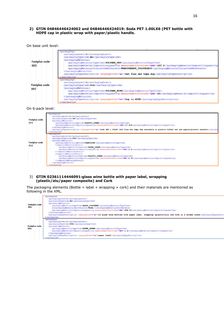#### **2) GTIN 04846446424002 and 04846446424019: Soda PET 1.00LX6 (PET bottle with HDPE cap in plastic wrap with paper/plastic handle.**

On base unit level:

| Fostplus code<br>005 | <packaging><br/><packaginglevel>1</packaginglevel><br/><packagingtypecode>BO</packagingtypecode><br/><packagingmaterial><br/><packagingmaterialtypecode>POLYMER PET</packagingmaterialtypecode><br/><packagingmaterialcompositionquantity measurementunitcode="GRM">220.2<packagingmaterialcolourcodereference>TRANSPARANT COLOURLESS</packagingmaterialcolourcodereference><br/></packagingmaterialcompositionquantity></packagingmaterial><br/><packagingtypedescription languagecode="en">Pet fles met hdpe dop</packagingtypedescription></packaging> |
|----------------------|-----------------------------------------------------------------------------------------------------------------------------------------------------------------------------------------------------------------------------------------------------------------------------------------------------------------------------------------------------------------------------------------------------------------------------------------------------------------------------------------------------------------------------------------------------------|
| Fostplus code<br>007 | $\langle$ /packaging><br><packaging><br/><packaginglevel>1</packaginglevel><br/><packagingtypecode>PUG</packagingtypecode><br/><packagingmaterial><br/><packagingmaterialtypecode>POLYMER HDPE</packagingmaterialtypecode><br/><packagingmaterialcompositionouantity measurementunitcode="GRM">20</packagingmaterialcompositionouantity><br/></packagingmaterial><br/><packagingtypedescription languagecode="en">Dop in HDPE</packagingtypedescription><br/><math>\langle</math>backaging&gt;</packaging>                                                |

On 6-pack level:



#### 3) **GTIN 02361114446091:glass wine bottle with paper label, wrapping (plastic/alu/paper composite) and Cork**

The packaging elements (Bottle + label + wrapping + cork) and their materials are mentioned as following in the XML.